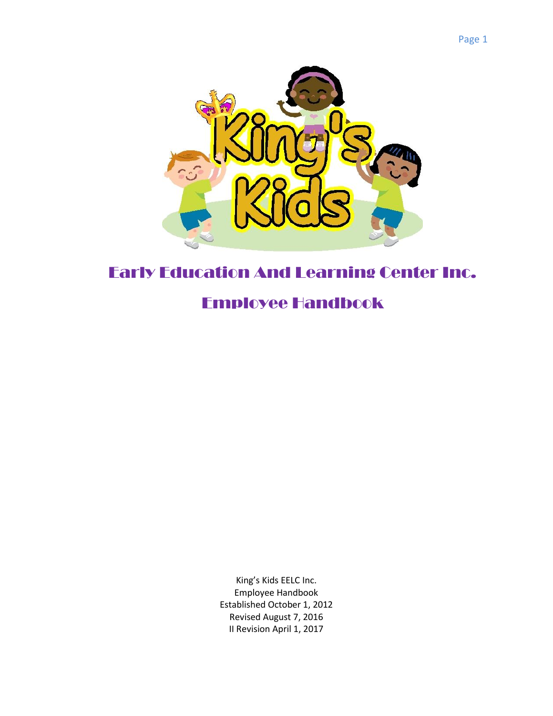

# Early Education And Learning Center Inc.

# Employee Handbook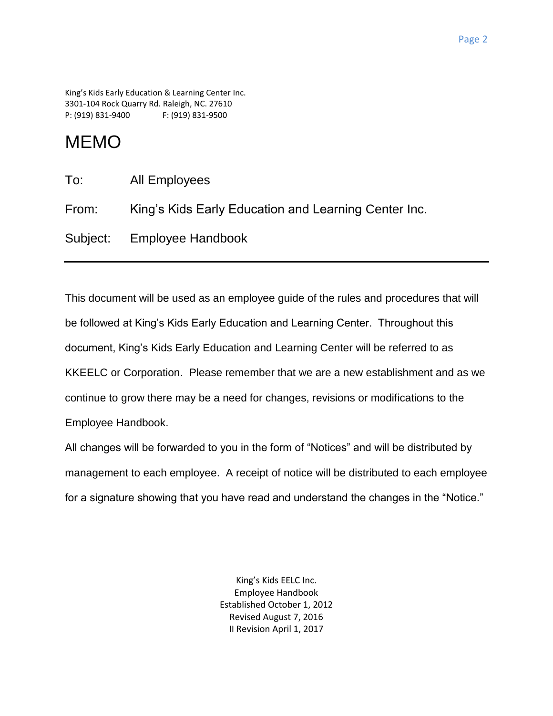King's Kids Early Education & Learning Center Inc. 3301-104 Rock Quarry Rd. Raleigh, NC. 27610 P: (919) 831-9400 F: (919) 831-9500

# MEMO

| To:   | All Employees                                        |
|-------|------------------------------------------------------|
| From: | King's Kids Early Education and Learning Center Inc. |
|       | Subject: Employee Handbook                           |

This document will be used as an employee guide of the rules and procedures that will be followed at King's Kids Early Education and Learning Center. Throughout this document, King's Kids Early Education and Learning Center will be referred to as KKEELC or Corporation. Please remember that we are a new establishment and as we continue to grow there may be a need for changes, revisions or modifications to the Employee Handbook.

All changes will be forwarded to you in the form of "Notices" and will be distributed by management to each employee. A receipt of notice will be distributed to each employee for a signature showing that you have read and understand the changes in the "Notice."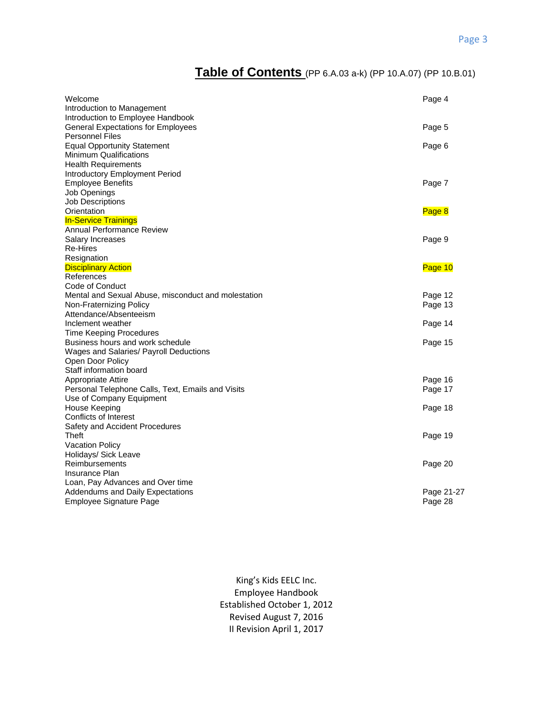# **Table of Contents** (PP 6.A.03 a-k) (PP 10.A.07) (PP 10.B.01)

| Welcome<br>Introduction to Management                                                                                               | Page 4             |
|-------------------------------------------------------------------------------------------------------------------------------------|--------------------|
| Introduction to Employee Handbook<br><b>General Expectations for Employees</b><br><b>Personnel Files</b>                            | Page 5             |
| <b>Equal Opportunity Statement</b><br><b>Minimum Qualifications</b><br><b>Health Requirements</b><br>Introductory Employment Period | Page 6             |
| <b>Employee Benefits</b><br>Job Openings<br><b>Job Descriptions</b>                                                                 | Page 7             |
| Orientation<br><b>In-Service Trainings</b>                                                                                          | Page 8             |
| Annual Performance Review<br>Salary Increases<br>Re-Hires<br>Resignation                                                            | Page 9             |
| <b>Disciplinary Action</b>                                                                                                          | Page 10            |
| References                                                                                                                          |                    |
| Code of Conduct                                                                                                                     |                    |
| Mental and Sexual Abuse, misconduct and molestation<br>Non-Fraternizing Policy                                                      | Page 12<br>Page 13 |
| Attendance/Absenteeism                                                                                                              |                    |
| Inclement weather                                                                                                                   | Page 14            |
| <b>Time Keeping Procedures</b>                                                                                                      |                    |
| Business hours and work schedule                                                                                                    | Page 15            |
| Wages and Salaries/ Payroll Deductions                                                                                              |                    |
| Open Door Policy<br>Staff information board                                                                                         |                    |
| Appropriate Attire                                                                                                                  | Page 16            |
| Personal Telephone Calls, Text, Emails and Visits                                                                                   | Page 17            |
| Use of Company Equipment                                                                                                            |                    |
| House Keeping                                                                                                                       | Page 18            |
| Conflicts of Interest                                                                                                               |                    |
| Safety and Accident Procedures                                                                                                      |                    |
| Theft                                                                                                                               | Page 19            |
| Vacation Policy                                                                                                                     |                    |
| Holidays/ Sick Leave                                                                                                                |                    |
| Reimbursements                                                                                                                      | Page 20            |
| Insurance Plan<br>Loan, Pay Advances and Over time                                                                                  |                    |
| <b>Addendums and Daily Expectations</b>                                                                                             | Page 21-27         |
| Employee Signature Page                                                                                                             | Page 28            |
|                                                                                                                                     |                    |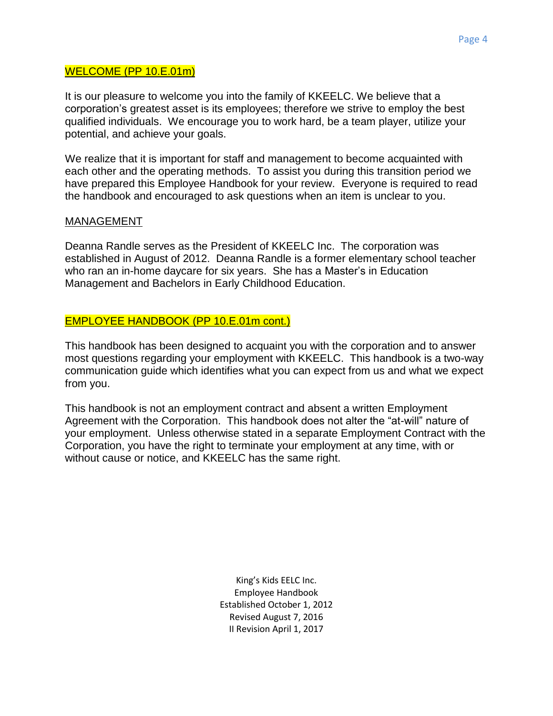#### WELCOME (PP 10.E.01m)

It is our pleasure to welcome you into the family of KKEELC. We believe that a corporation's greatest asset is its employees; therefore we strive to employ the best qualified individuals. We encourage you to work hard, be a team player, utilize your potential, and achieve your goals.

We realize that it is important for staff and management to become acquainted with each other and the operating methods. To assist you during this transition period we have prepared this Employee Handbook for your review. Everyone is required to read the handbook and encouraged to ask questions when an item is unclear to you.

#### MANAGEMENT

Deanna Randle serves as the President of KKEELC Inc. The corporation was established in August of 2012. Deanna Randle is a former elementary school teacher who ran an in-home daycare for six years. She has a Master's in Education Management and Bachelors in Early Childhood Education.

#### EMPLOYEE HANDBOOK (PP 10.E.01m cont.)

This handbook has been designed to acquaint you with the corporation and to answer most questions regarding your employment with KKEELC. This handbook is a two-way communication guide which identifies what you can expect from us and what we expect from you.

This handbook is not an employment contract and absent a written Employment Agreement with the Corporation. This handbook does not alter the "at-will" nature of your employment. Unless otherwise stated in a separate Employment Contract with the Corporation, you have the right to terminate your employment at any time, with or without cause or notice, and KKEELC has the same right.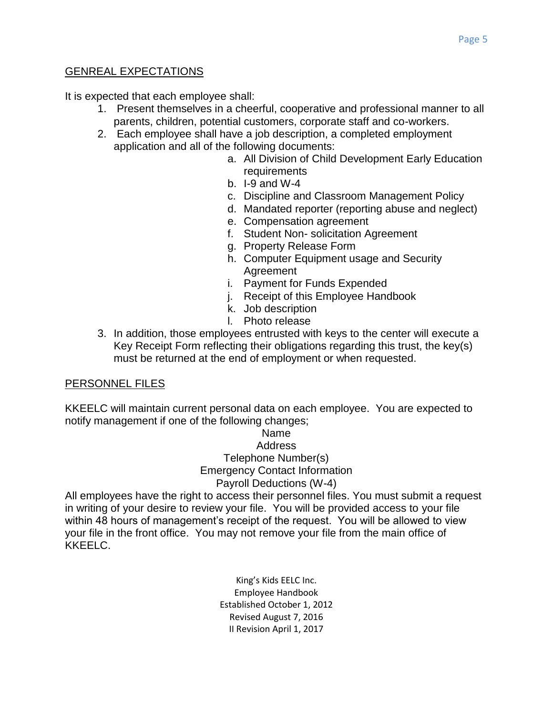# GENREAL EXPECTATIONS

It is expected that each employee shall:

- 1. Present themselves in a cheerful, cooperative and professional manner to all parents, children, potential customers, corporate staff and co-workers.
- 2. Each employee shall have a job description, a completed employment application and all of the following documents:
	- a. All Division of Child Development Early Education requirements
	- b. I-9 and W-4
	- c. Discipline and Classroom Management Policy
	- d. Mandated reporter (reporting abuse and neglect)
	- e. Compensation agreement
	- f. Student Non- solicitation Agreement
	- g. Property Release Form
	- h. Computer Equipment usage and Security Agreement
	- i. Payment for Funds Expended
	- j. Receipt of this Employee Handbook
	- k. Job description
	- l. Photo release
- 3. In addition, those employees entrusted with keys to the center will execute a Key Receipt Form reflecting their obligations regarding this trust, the key(s) must be returned at the end of employment or when requested.

# PERSONNEL FILES

KKEELC will maintain current personal data on each employee. You are expected to notify management if one of the following changes;

#### Name **Address** Telephone Number(s) Emergency Contact Information Payroll Deductions (W-4)

All employees have the right to access their personnel files. You must submit a request in writing of your desire to review your file. You will be provided access to your file within 48 hours of management's receipt of the request. You will be allowed to view your file in the front office. You may not remove your file from the main office of KKEELC.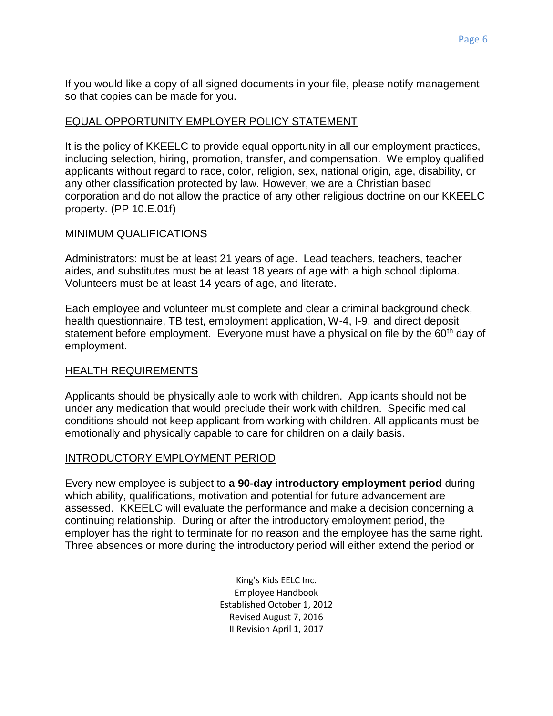If you would like a copy of all signed documents in your file, please notify management so that copies can be made for you.

#### EQUAL OPPORTUNITY EMPLOYER POLICY STATEMENT

It is the policy of KKEELC to provide equal opportunity in all our employment practices, including selection, hiring, promotion, transfer, and compensation. We employ qualified applicants without regard to race, color, religion, sex, national origin, age, disability, or any other classification protected by law. However, we are a Christian based corporation and do not allow the practice of any other religious doctrine on our KKEELC property. (PP 10.E.01f)

#### MINIMUM QUALIFICATIONS

Administrators: must be at least 21 years of age. Lead teachers, teachers, teacher aides, and substitutes must be at least 18 years of age with a high school diploma. Volunteers must be at least 14 years of age, and literate.

Each employee and volunteer must complete and clear a criminal background check, health questionnaire, TB test, employment application, W-4, I-9, and direct deposit statement before employment. Everyone must have a physical on file by the 60<sup>th</sup> day of employment.

#### HEALTH REQUIREMENTS

Applicants should be physically able to work with children. Applicants should not be under any medication that would preclude their work with children. Specific medical conditions should not keep applicant from working with children. All applicants must be emotionally and physically capable to care for children on a daily basis.

# INTRODUCTORY EMPLOYMENT PERIOD

Every new employee is subject to **a 90-day introductory employment period** during which ability, qualifications, motivation and potential for future advancement are assessed. KKEELC will evaluate the performance and make a decision concerning a continuing relationship. During or after the introductory employment period, the employer has the right to terminate for no reason and the employee has the same right. Three absences or more during the introductory period will either extend the period or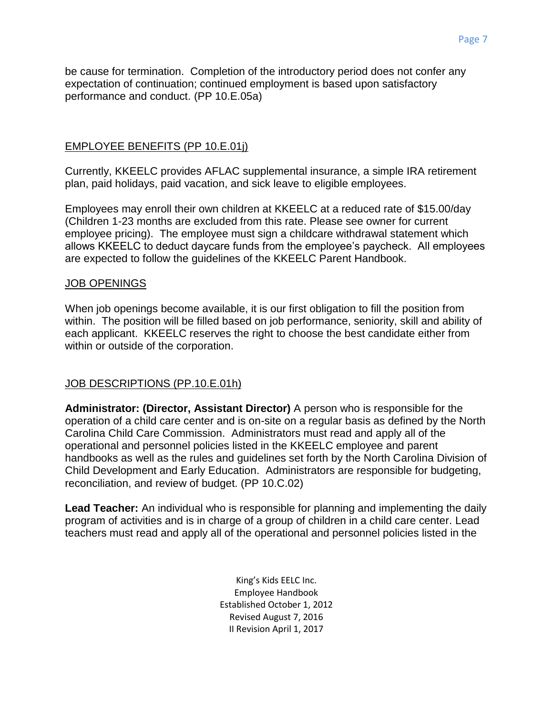be cause for termination. Completion of the introductory period does not confer any expectation of continuation; continued employment is based upon satisfactory performance and conduct. (PP 10.E.05a)

# EMPLOYEE BENEFITS (PP 10.E.01j)

Currently, KKEELC provides AFLAC supplemental insurance, a simple IRA retirement plan, paid holidays, paid vacation, and sick leave to eligible employees.

Employees may enroll their own children at KKEELC at a reduced rate of \$15.00/day (Children 1-23 months are excluded from this rate. Please see owner for current employee pricing). The employee must sign a childcare withdrawal statement which allows KKEELC to deduct daycare funds from the employee's paycheck. All employees are expected to follow the guidelines of the KKEELC Parent Handbook.

#### JOB OPENINGS

When job openings become available, it is our first obligation to fill the position from within. The position will be filled based on job performance, seniority, skill and ability of each applicant. KKEELC reserves the right to choose the best candidate either from within or outside of the corporation.

# JOB DESCRIPTIONS (PP.10.E.01h)

**Administrator: (Director, Assistant Director)** A person who is responsible for the operation of a child care center and is on-site on a regular basis as defined by the North Carolina Child Care Commission. Administrators must read and apply all of the operational and personnel policies listed in the KKEELC employee and parent handbooks as well as the rules and guidelines set forth by the North Carolina Division of Child Development and Early Education. Administrators are responsible for budgeting, reconciliation, and review of budget. (PP 10.C.02)

**Lead Teacher:** An individual who is responsible for planning and implementing the daily program of activities and is in charge of a group of children in a child care center. Lead teachers must read and apply all of the operational and personnel policies listed in the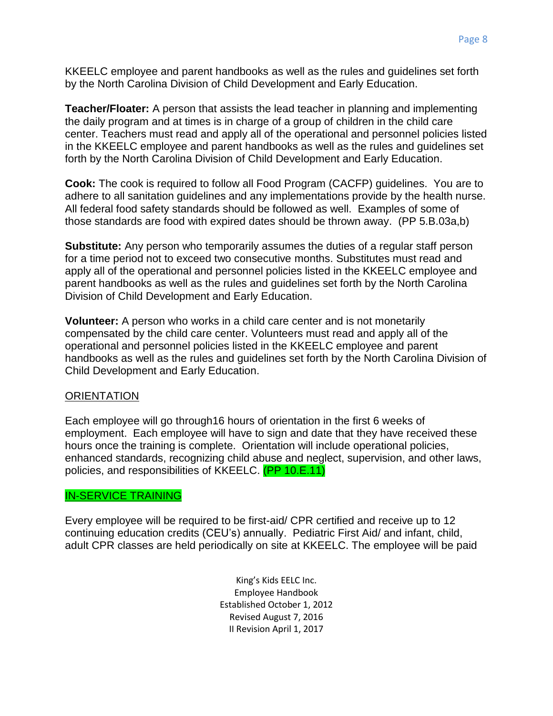KKEELC employee and parent handbooks as well as the rules and guidelines set forth by the North Carolina Division of Child Development and Early Education.

**Teacher/Floater:** A person that assists the lead teacher in planning and implementing the daily program and at times is in charge of a group of children in the child care center. Teachers must read and apply all of the operational and personnel policies listed in the KKEELC employee and parent handbooks as well as the rules and guidelines set forth by the North Carolina Division of Child Development and Early Education.

**Cook:** The cook is required to follow all Food Program (CACFP) guidelines. You are to adhere to all sanitation guidelines and any implementations provide by the health nurse. All federal food safety standards should be followed as well. Examples of some of those standards are food with expired dates should be thrown away. (PP 5.B.03a,b)

**Substitute:** Any person who temporarily assumes the duties of a regular staff person for a time period not to exceed two consecutive months. Substitutes must read and apply all of the operational and personnel policies listed in the KKEELC employee and parent handbooks as well as the rules and guidelines set forth by the North Carolina Division of Child Development and Early Education.

**Volunteer:** A person who works in a child care center and is not monetarily compensated by the child care center. Volunteers must read and apply all of the operational and personnel policies listed in the KKEELC employee and parent handbooks as well as the rules and guidelines set forth by the North Carolina Division of Child Development and Early Education.

#### **ORIENTATION**

Each employee will go through16 hours of orientation in the first 6 weeks of employment. Each employee will have to sign and date that they have received these hours once the training is complete. Orientation will include operational policies, enhanced standards, recognizing child abuse and neglect, supervision, and other laws, policies, and responsibilities of KKEELC. (PP 10.E.11)

# IN-SERVICE TRAINING

Every employee will be required to be first-aid/ CPR certified and receive up to 12 continuing education credits (CEU's) annually. Pediatric First Aid/ and infant, child, adult CPR classes are held periodically on site at KKEELC. The employee will be paid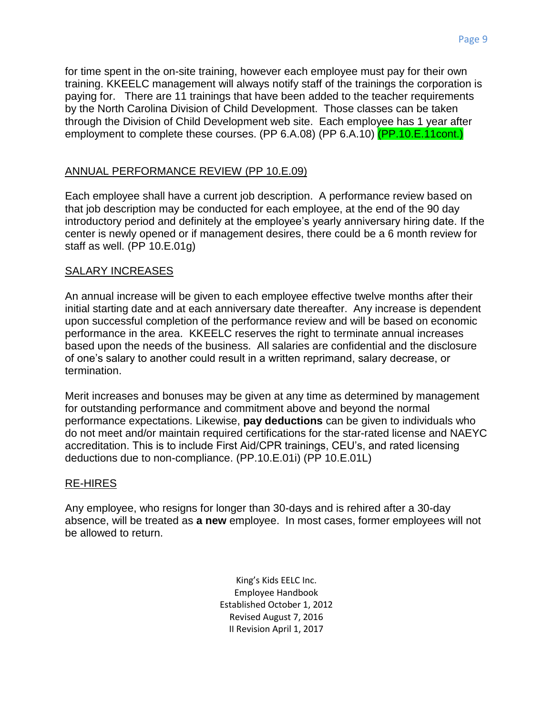for time spent in the on-site training, however each employee must pay for their own training. KKEELC management will always notify staff of the trainings the corporation is paying for. There are 11 trainings that have been added to the teacher requirements by the North Carolina Division of Child Development. Those classes can be taken through the Division of Child Development web site. Each employee has 1 year after employment to complete these courses. (PP 6.A.08) (PP 6.A.10) (PP.10.E.11cont.)

# ANNUAL PERFORMANCE REVIEW (PP 10.E.09)

Each employee shall have a current job description. A performance review based on that job description may be conducted for each employee, at the end of the 90 day introductory period and definitely at the employee's yearly anniversary hiring date. If the center is newly opened or if management desires, there could be a 6 month review for staff as well. (PP 10.E.01g)

# SALARY INCREASES

An annual increase will be given to each employee effective twelve months after their initial starting date and at each anniversary date thereafter. Any increase is dependent upon successful completion of the performance review and will be based on economic performance in the area. KKEELC reserves the right to terminate annual increases based upon the needs of the business. All salaries are confidential and the disclosure of one's salary to another could result in a written reprimand, salary decrease, or termination.

Merit increases and bonuses may be given at any time as determined by management for outstanding performance and commitment above and beyond the normal performance expectations. Likewise, **pay deductions** can be given to individuals who do not meet and/or maintain required certifications for the star-rated license and NAEYC accreditation. This is to include First Aid/CPR trainings, CEU's, and rated licensing deductions due to non-compliance. (PP.10.E.01i) (PP 10.E.01L)

# RE-HIRES

Any employee, who resigns for longer than 30-days and is rehired after a 30-day absence, will be treated as **a new** employee. In most cases, former employees will not be allowed to return.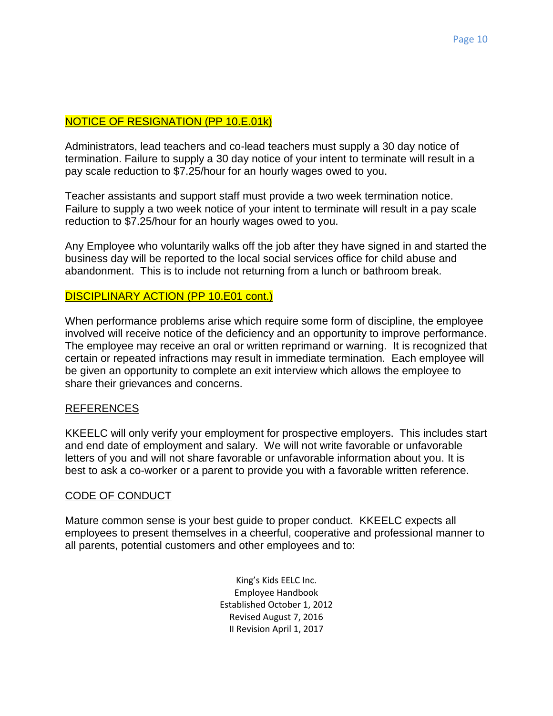# NOTICE OF RESIGNATION (PP 10.E.01k)

Administrators, lead teachers and co-lead teachers must supply a 30 day notice of termination. Failure to supply a 30 day notice of your intent to terminate will result in a pay scale reduction to \$7.25/hour for an hourly wages owed to you.

Teacher assistants and support staff must provide a two week termination notice. Failure to supply a two week notice of your intent to terminate will result in a pay scale reduction to \$7.25/hour for an hourly wages owed to you.

Any Employee who voluntarily walks off the job after they have signed in and started the business day will be reported to the local social services office for child abuse and abandonment. This is to include not returning from a lunch or bathroom break.

#### DISCIPLINARY ACTION (PP 10.E01 cont.)

When performance problems arise which require some form of discipline, the employee involved will receive notice of the deficiency and an opportunity to improve performance. The employee may receive an oral or written reprimand or warning. It is recognized that certain or repeated infractions may result in immediate termination. Each employee will be given an opportunity to complete an exit interview which allows the employee to share their grievances and concerns.

#### REFERENCES

KKEELC will only verify your employment for prospective employers. This includes start and end date of employment and salary. We will not write favorable or unfavorable letters of you and will not share favorable or unfavorable information about you. It is best to ask a co-worker or a parent to provide you with a favorable written reference.

#### CODE OF CONDUCT

Mature common sense is your best guide to proper conduct. KKEELC expects all employees to present themselves in a cheerful, cooperative and professional manner to all parents, potential customers and other employees and to: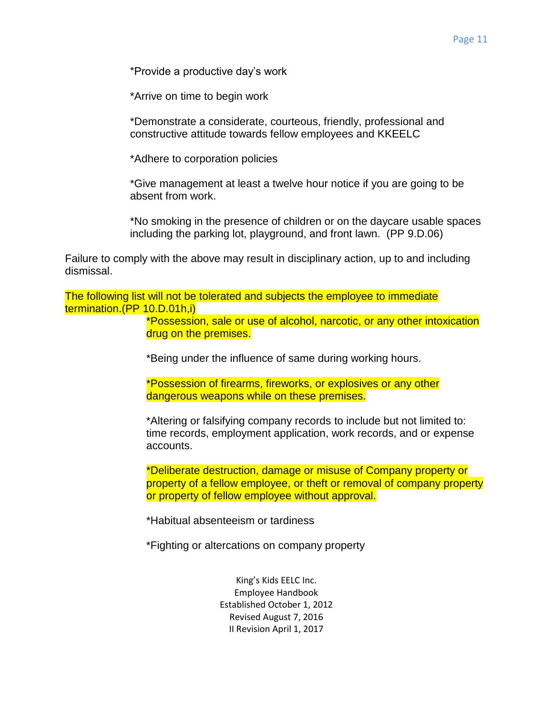\*Provide a productive day's work

\*Arrive on time to begin work

\*Demonstrate a considerate, courteous, friendly, professional and constructive attitude towards fellow employees and KKEELC

\*Adhere to corporation policies

\*Give management at least a twelve hour notice if you are going to be absent from work.

\*No smoking in the presence of children or on the daycare usable spaces including the parking lot, playground, and front lawn. (PP 9.D.06)

Failure to comply with the above may result in disciplinary action, up to and including dismissal.

The following list will not be tolerated and subjects the employee to immediate termination.(PP 10.D.01h,i)

> \*Possession, sale or use of alcohol, narcotic, or any other intoxication drug on the premises.

\*Being under the influence of same during working hours.

\*Possession of firearms, fireworks, or explosives or any other dangerous weapons while on these premises.

\*Altering or falsifying company records to include but not limited to: time records, employment application, work records, and or expense accounts.

\*Deliberate destruction, damage or misuse of Company property or property of a fellow employee, or theft or removal of company property or property of fellow employee without approval.

\*Habitual absenteeism or tardiness

\*Fighting or altercations on company property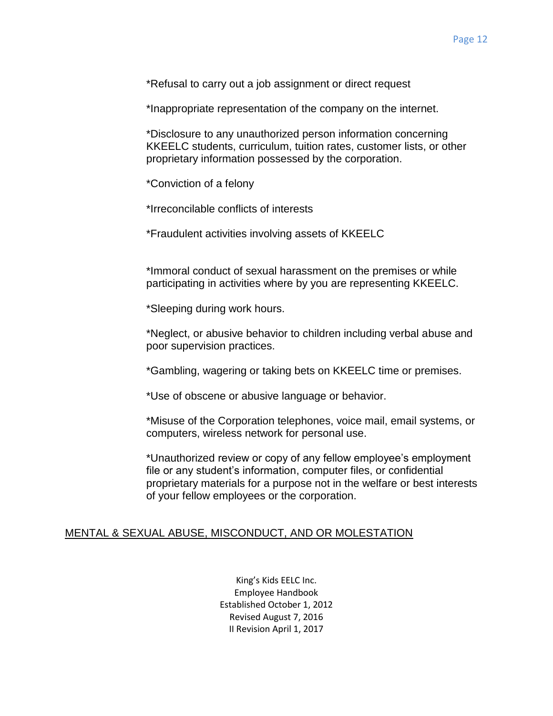\*Refusal to carry out a job assignment or direct request

\*Inappropriate representation of the company on the internet.

\*Disclosure to any unauthorized person information concerning KKEELC students, curriculum, tuition rates, customer lists, or other proprietary information possessed by the corporation.

\*Conviction of a felony

\*Irreconcilable conflicts of interests

\*Fraudulent activities involving assets of KKEELC

\*Immoral conduct of sexual harassment on the premises or while participating in activities where by you are representing KKEELC.

\*Sleeping during work hours.

\*Neglect, or abusive behavior to children including verbal abuse and poor supervision practices.

\*Gambling, wagering or taking bets on KKEELC time or premises.

\*Use of obscene or abusive language or behavior.

\*Misuse of the Corporation telephones, voice mail, email systems, or computers, wireless network for personal use.

\*Unauthorized review or copy of any fellow employee's employment file or any student's information, computer files, or confidential proprietary materials for a purpose not in the welfare or best interests of your fellow employees or the corporation.

#### MENTAL & SEXUAL ABUSE, MISCONDUCT, AND OR MOLESTATION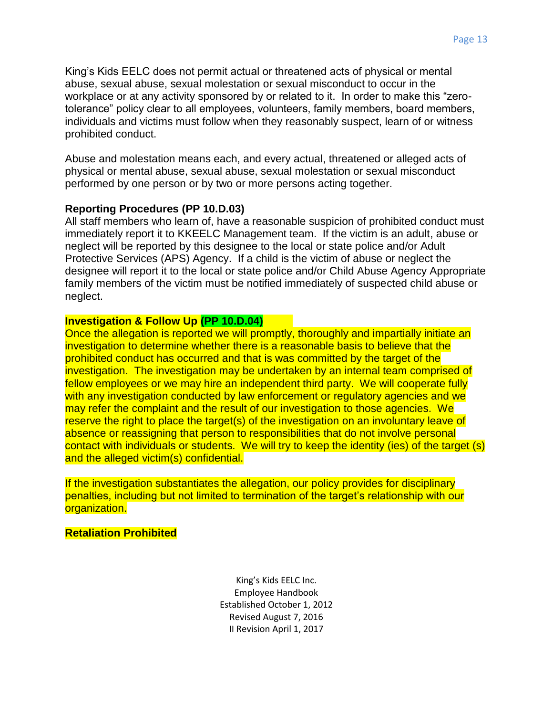King's Kids EELC does not permit actual or threatened acts of physical or mental abuse, sexual abuse, sexual molestation or sexual misconduct to occur in the workplace or at any activity sponsored by or related to it. In order to make this "zerotolerance" policy clear to all employees, volunteers, family members, board members, individuals and victims must follow when they reasonably suspect, learn of or witness prohibited conduct.

Abuse and molestation means each, and every actual, threatened or alleged acts of physical or mental abuse, sexual abuse, sexual molestation or sexual misconduct performed by one person or by two or more persons acting together.

# **Reporting Procedures (PP 10.D.03)**

All staff members who learn of, have a reasonable suspicion of prohibited conduct must immediately report it to KKEELC Management team. If the victim is an adult, abuse or neglect will be reported by this designee to the local or state police and/or Adult Protective Services (APS) Agency. If a child is the victim of abuse or neglect the designee will report it to the local or state police and/or Child Abuse Agency Appropriate family members of the victim must be notified immediately of suspected child abuse or neglect.

# **Investigation & Follow Up (PP 10.D.04)**

Once the allegation is reported we will promptly, thoroughly and impartially initiate an investigation to determine whether there is a reasonable basis to believe that the prohibited conduct has occurred and that is was committed by the target of the investigation. The investigation may be undertaken by an internal team comprised of fellow employees or we may hire an independent third party. We will cooperate fully with any investigation conducted by law enforcement or regulatory agencies and we may refer the complaint and the result of our investigation to those agencies. We reserve the right to place the target(s) of the investigation on an involuntary leave of absence or reassigning that person to responsibilities that do not involve personal contact with individuals or students. We will try to keep the identity (ies) of the target (s) and the alleged victim(s) confidential.

If the investigation substantiates the allegation, our policy provides for disciplinary penalties, including but not limited to termination of the target's relationship with our organization.

**Retaliation Prohibited**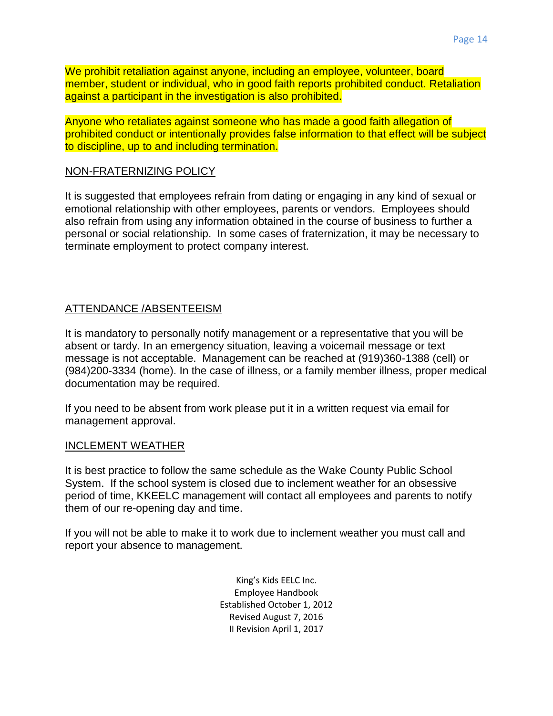We prohibit retaliation against anyone, including an employee, volunteer, board member, student or individual, who in good faith reports prohibited conduct. Retaliation against a participant in the investigation is also prohibited.

Anyone who retaliates against someone who has made a good faith allegation of prohibited conduct or intentionally provides false information to that effect will be subject to discipline, up to and including termination.

#### NON-FRATERNIZING POLICY

It is suggested that employees refrain from dating or engaging in any kind of sexual or emotional relationship with other employees, parents or vendors. Employees should also refrain from using any information obtained in the course of business to further a personal or social relationship. In some cases of fraternization, it may be necessary to terminate employment to protect company interest.

# ATTENDANCE /ABSENTEEISM

It is mandatory to personally notify management or a representative that you will be absent or tardy. In an emergency situation, leaving a voicemail message or text message is not acceptable. Management can be reached at (919)360-1388 (cell) or (984)200-3334 (home). In the case of illness, or a family member illness, proper medical documentation may be required.

If you need to be absent from work please put it in a written request via email for management approval.

#### INCLEMENT WEATHER

It is best practice to follow the same schedule as the Wake County Public School System. If the school system is closed due to inclement weather for an obsessive period of time, KKEELC management will contact all employees and parents to notify them of our re-opening day and time.

If you will not be able to make it to work due to inclement weather you must call and report your absence to management.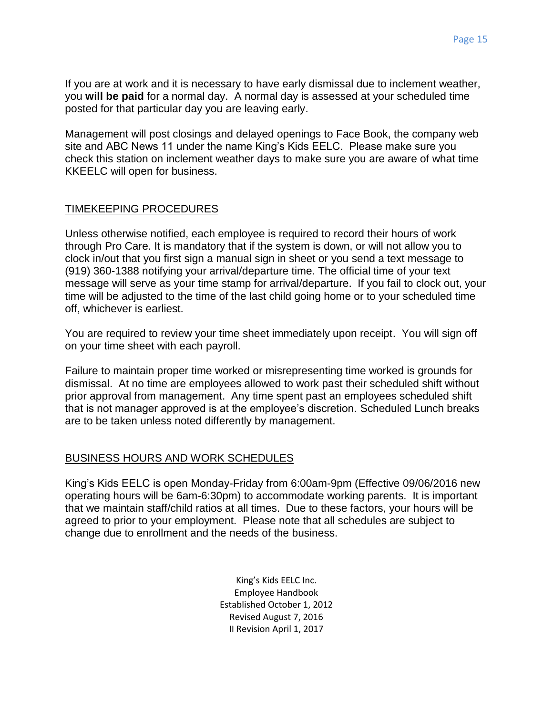If you are at work and it is necessary to have early dismissal due to inclement weather, you **will be paid** for a normal day. A normal day is assessed at your scheduled time posted for that particular day you are leaving early.

Management will post closings and delayed openings to Face Book, the company web site and ABC News 11 under the name King's Kids EELC. Please make sure you check this station on inclement weather days to make sure you are aware of what time KKEELC will open for business.

# TIMEKEEPING PROCEDURES

Unless otherwise notified, each employee is required to record their hours of work through Pro Care. It is mandatory that if the system is down, or will not allow you to clock in/out that you first sign a manual sign in sheet or you send a text message to (919) 360-1388 notifying your arrival/departure time. The official time of your text message will serve as your time stamp for arrival/departure. If you fail to clock out, your time will be adjusted to the time of the last child going home or to your scheduled time off, whichever is earliest.

You are required to review your time sheet immediately upon receipt. You will sign off on your time sheet with each payroll.

Failure to maintain proper time worked or misrepresenting time worked is grounds for dismissal. At no time are employees allowed to work past their scheduled shift without prior approval from management. Any time spent past an employees scheduled shift that is not manager approved is at the employee's discretion. Scheduled Lunch breaks are to be taken unless noted differently by management.

# BUSINESS HOURS AND WORK SCHEDULES

King's Kids EELC is open Monday-Friday from 6:00am-9pm (Effective 09/06/2016 new operating hours will be 6am-6:30pm) to accommodate working parents. It is important that we maintain staff/child ratios at all times. Due to these factors, your hours will be agreed to prior to your employment. Please note that all schedules are subject to change due to enrollment and the needs of the business.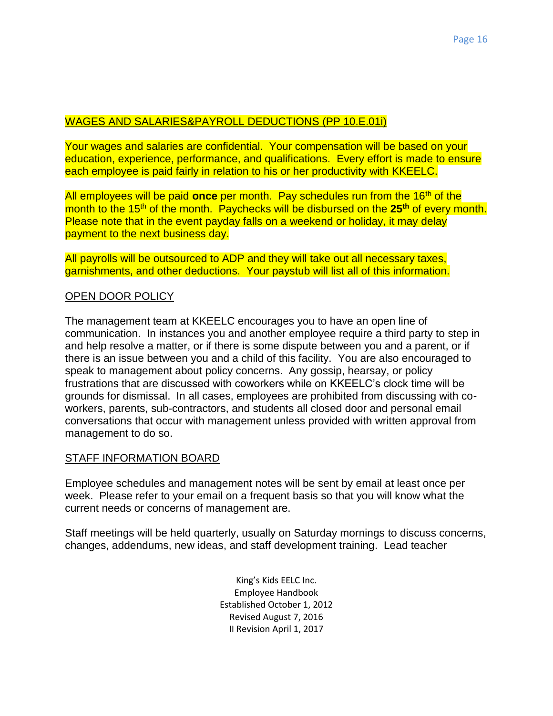# WAGES AND SALARIES&PAYROLL DEDUCTIONS (PP 10.E.01i)

Your wages and salaries are confidential. Your compensation will be based on your education, experience, performance, and qualifications. Every effort is made to ensure each employee is paid fairly in relation to his or her productivity with KKEELC.

All employees will be paid **once** per month. Pay schedules run from the 16th of the month to the 15th of the month. Paychecks will be disbursed on the **25 th** of every month. Please note that in the event payday falls on a weekend or holiday, it may delay payment to the next business day.

All payrolls will be outsourced to ADP and they will take out all necessary taxes, garnishments, and other deductions. Your paystub will list all of this information.

#### OPEN DOOR POLICY

The management team at KKEELC encourages you to have an open line of communication. In instances you and another employee require a third party to step in and help resolve a matter, or if there is some dispute between you and a parent, or if there is an issue between you and a child of this facility. You are also encouraged to speak to management about policy concerns. Any gossip, hearsay, or policy frustrations that are discussed with coworkers while on KKEELC's clock time will be grounds for dismissal. In all cases, employees are prohibited from discussing with coworkers, parents, sub-contractors, and students all closed door and personal email conversations that occur with management unless provided with written approval from management to do so.

# STAFF INFORMATION BOARD

Employee schedules and management notes will be sent by email at least once per week. Please refer to your email on a frequent basis so that you will know what the current needs or concerns of management are.

Staff meetings will be held quarterly, usually on Saturday mornings to discuss concerns, changes, addendums, new ideas, and staff development training. Lead teacher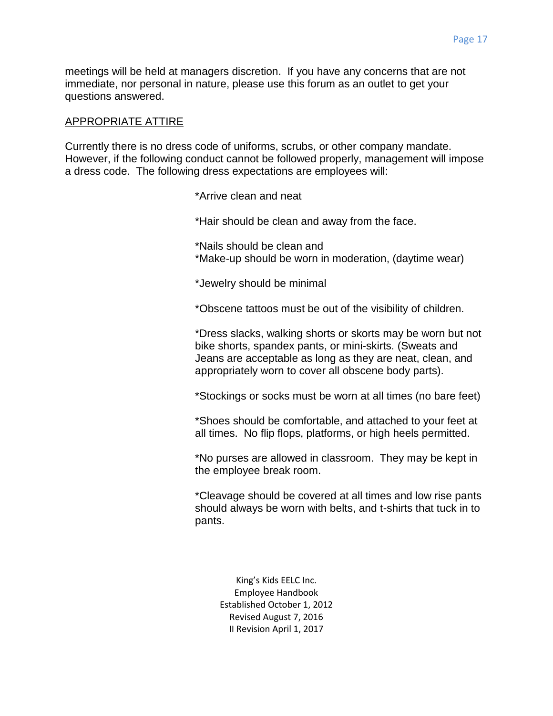meetings will be held at managers discretion. If you have any concerns that are not immediate, nor personal in nature, please use this forum as an outlet to get your questions answered.

#### APPROPRIATE ATTIRE

Currently there is no dress code of uniforms, scrubs, or other company mandate. However, if the following conduct cannot be followed properly, management will impose a dress code. The following dress expectations are employees will:

\*Arrive clean and neat

\*Hair should be clean and away from the face.

\*Nails should be clean and \*Make-up should be worn in moderation, (daytime wear)

\*Jewelry should be minimal

\*Obscene tattoos must be out of the visibility of children.

\*Dress slacks, walking shorts or skorts may be worn but not bike shorts, spandex pants, or mini-skirts. (Sweats and Jeans are acceptable as long as they are neat, clean, and appropriately worn to cover all obscene body parts).

\*Stockings or socks must be worn at all times (no bare feet)

\*Shoes should be comfortable, and attached to your feet at all times. No flip flops, platforms, or high heels permitted.

\*No purses are allowed in classroom. They may be kept in the employee break room.

\*Cleavage should be covered at all times and low rise pants should always be worn with belts, and t-shirts that tuck in to pants.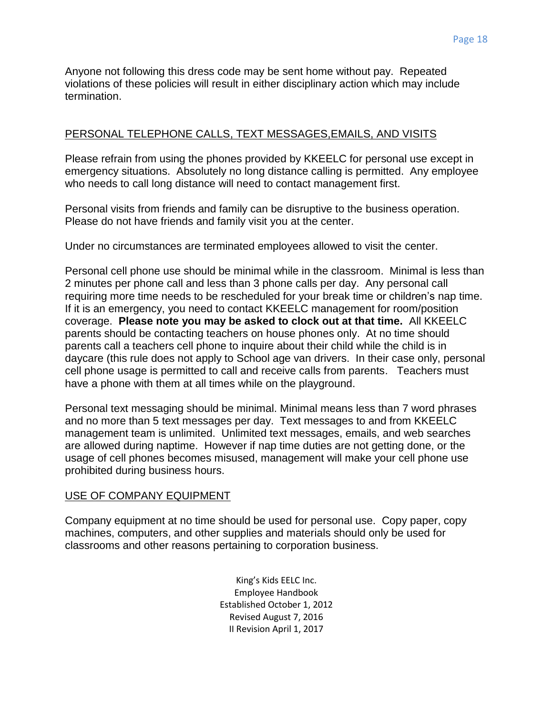Anyone not following this dress code may be sent home without pay. Repeated violations of these policies will result in either disciplinary action which may include termination.

#### PERSONAL TELEPHONE CALLS, TEXT MESSAGES,EMAILS, AND VISITS

Please refrain from using the phones provided by KKEELC for personal use except in emergency situations. Absolutely no long distance calling is permitted. Any employee who needs to call long distance will need to contact management first.

Personal visits from friends and family can be disruptive to the business operation. Please do not have friends and family visit you at the center.

Under no circumstances are terminated employees allowed to visit the center.

Personal cell phone use should be minimal while in the classroom. Minimal is less than 2 minutes per phone call and less than 3 phone calls per day. Any personal call requiring more time needs to be rescheduled for your break time or children's nap time. If it is an emergency, you need to contact KKEELC management for room/position coverage. **Please note you may be asked to clock out at that time.** All KKEELC parents should be contacting teachers on house phones only. At no time should parents call a teachers cell phone to inquire about their child while the child is in daycare (this rule does not apply to School age van drivers. In their case only, personal cell phone usage is permitted to call and receive calls from parents. Teachers must have a phone with them at all times while on the playground.

Personal text messaging should be minimal. Minimal means less than 7 word phrases and no more than 5 text messages per day. Text messages to and from KKEELC management team is unlimited. Unlimited text messages, emails, and web searches are allowed during naptime. However if nap time duties are not getting done, or the usage of cell phones becomes misused, management will make your cell phone use prohibited during business hours.

#### USE OF COMPANY EQUIPMENT

Company equipment at no time should be used for personal use. Copy paper, copy machines, computers, and other supplies and materials should only be used for classrooms and other reasons pertaining to corporation business.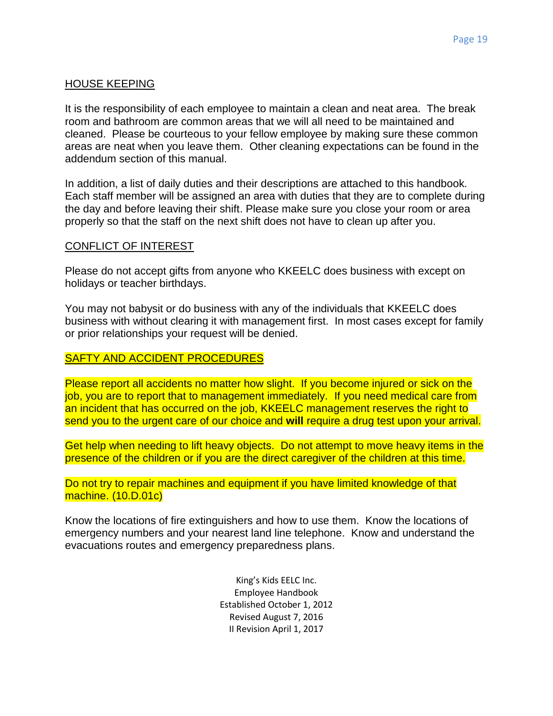# HOUSE KEEPING

It is the responsibility of each employee to maintain a clean and neat area. The break room and bathroom are common areas that we will all need to be maintained and cleaned. Please be courteous to your fellow employee by making sure these common areas are neat when you leave them. Other cleaning expectations can be found in the addendum section of this manual.

In addition, a list of daily duties and their descriptions are attached to this handbook. Each staff member will be assigned an area with duties that they are to complete during the day and before leaving their shift. Please make sure you close your room or area properly so that the staff on the next shift does not have to clean up after you.

#### CONFLICT OF INTEREST

Please do not accept gifts from anyone who KKEELC does business with except on holidays or teacher birthdays.

You may not babysit or do business with any of the individuals that KKEELC does business with without clearing it with management first. In most cases except for family or prior relationships your request will be denied.

#### SAFTY AND ACCIDENT PROCEDURES

Please report all accidents no matter how slight. If you become injured or sick on the job, you are to report that to management immediately. If you need medical care from an incident that has occurred on the job, KKEELC management reserves the right to send you to the urgent care of our choice and **will** require a drug test upon your arrival.

Get help when needing to lift heavy objects. Do not attempt to move heavy items in the presence of the children or if you are the direct caregiver of the children at this time.

Do not try to repair machines and equipment if you have limited knowledge of that machine. (10.D.01c)

Know the locations of fire extinguishers and how to use them. Know the locations of emergency numbers and your nearest land line telephone. Know and understand the evacuations routes and emergency preparedness plans.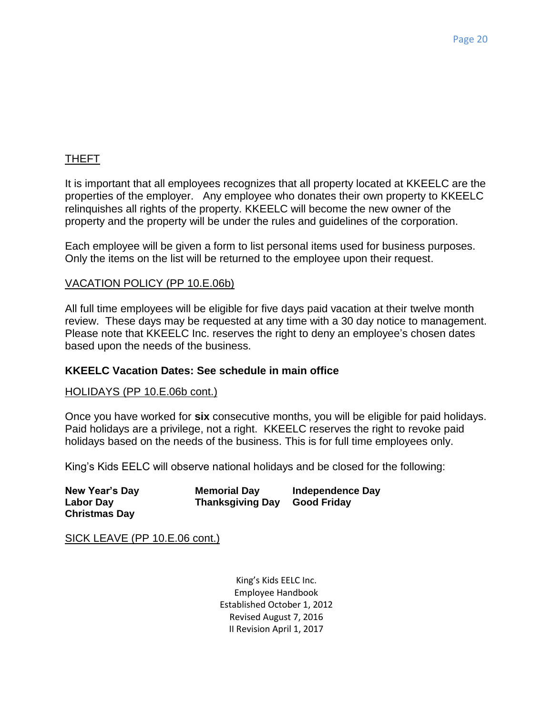# THEFT

It is important that all employees recognizes that all property located at KKEELC are the properties of the employer. Any employee who donates their own property to KKEELC relinquishes all rights of the property. KKEELC will become the new owner of the property and the property will be under the rules and guidelines of the corporation.

Each employee will be given a form to list personal items used for business purposes. Only the items on the list will be returned to the employee upon their request.

#### VACATION POLICY (PP 10.E.06b)

All full time employees will be eligible for five days paid vacation at their twelve month review. These days may be requested at any time with a 30 day notice to management. Please note that KKEELC Inc. reserves the right to deny an employee's chosen dates based upon the needs of the business.

# **KKEELC Vacation Dates: See schedule in main office**

#### HOLIDAYS (PP 10.E.06b cont.)

Once you have worked for **six** consecutive months, you will be eligible for paid holidays. Paid holidays are a privilege, not a right. KKEELC reserves the right to revoke paid holidays based on the needs of the business. This is for full time employees only.

King's Kids EELC will observe national holidays and be closed for the following:

| <b>New Year's Day</b> | <b>Memorial Day</b>     | Independence Day |
|-----------------------|-------------------------|------------------|
| Labor Day             | <b>Thanksgiving Day</b> | Good Friday      |
| <b>Christmas Day</b>  |                         |                  |

SICK LEAVE (PP 10.E.06 cont.)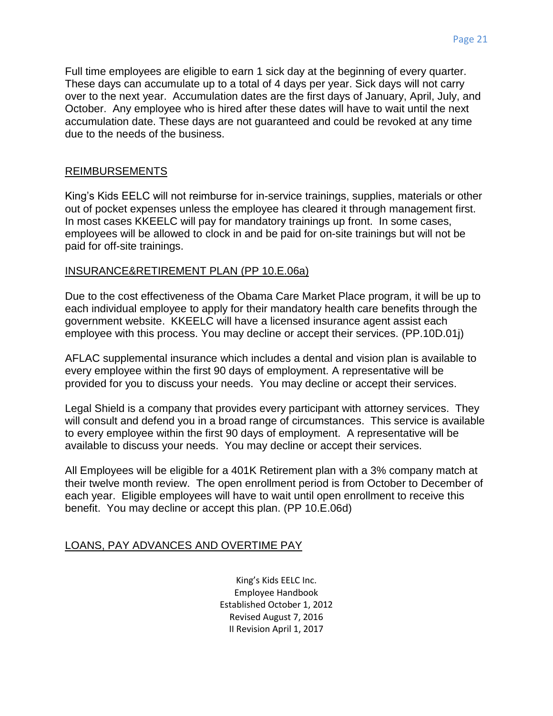Full time employees are eligible to earn 1 sick day at the beginning of every quarter. These days can accumulate up to a total of 4 days per year. Sick days will not carry over to the next year. Accumulation dates are the first days of January, April, July, and October. Any employee who is hired after these dates will have to wait until the next accumulation date. These days are not guaranteed and could be revoked at any time due to the needs of the business.

# REIMBURSEMENTS

King's Kids EELC will not reimburse for in-service trainings, supplies, materials or other out of pocket expenses unless the employee has cleared it through management first. In most cases KKEELC will pay for mandatory trainings up front. In some cases, employees will be allowed to clock in and be paid for on-site trainings but will not be paid for off-site trainings.

# INSURANCE&RETIREMENT PLAN (PP 10.E.06a)

Due to the cost effectiveness of the Obama Care Market Place program, it will be up to each individual employee to apply for their mandatory health care benefits through the government website. KKEELC will have a licensed insurance agent assist each employee with this process. You may decline or accept their services. (PP.10D.01j)

AFLAC supplemental insurance which includes a dental and vision plan is available to every employee within the first 90 days of employment. A representative will be provided for you to discuss your needs. You may decline or accept their services.

Legal Shield is a company that provides every participant with attorney services. They will consult and defend you in a broad range of circumstances. This service is available to every employee within the first 90 days of employment. A representative will be available to discuss your needs. You may decline or accept their services.

All Employees will be eligible for a 401K Retirement plan with a 3% company match at their twelve month review. The open enrollment period is from October to December of each year. Eligible employees will have to wait until open enrollment to receive this benefit. You may decline or accept this plan. (PP 10.E.06d)

# LOANS, PAY ADVANCES AND OVERTIME PAY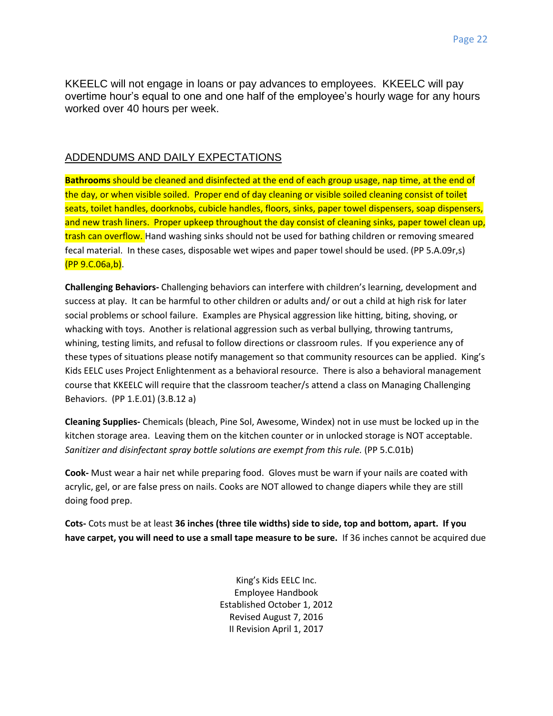KKEELC will not engage in loans or pay advances to employees. KKEELC will pay overtime hour's equal to one and one half of the employee's hourly wage for any hours worked over 40 hours per week.

#### ADDENDUMS AND DAILY EXPECTATIONS

**Bathrooms** should be cleaned and disinfected at the end of each group usage, nap time, at the end of the day, or when visible soiled. Proper end of day cleaning or visible soiled cleaning consist of toilet seats, toilet handles, doorknobs, cubicle handles, floors, sinks, paper towel dispensers, soap dispensers, and new trash liners. Proper upkeep throughout the day consist of cleaning sinks, paper towel clean up, trash can overflow. Hand washing sinks should not be used for bathing children or removing smeared fecal material. In these cases, disposable wet wipes and paper towel should be used. (PP 5.A.09r,s) (PP 9.C.06a,b).

**Challenging Behaviors-** Challenging behaviors can interfere with children's learning, development and success at play. It can be harmful to other children or adults and/ or out a child at high risk for later social problems or school failure. Examples are Physical aggression like hitting, biting, shoving, or whacking with toys. Another is relational aggression such as verbal bullying, throwing tantrums, whining, testing limits, and refusal to follow directions or classroom rules. If you experience any of these types of situations please notify management so that community resources can be applied. King's Kids EELC uses Project Enlightenment as a behavioral resource. There is also a behavioral management course that KKEELC will require that the classroom teacher/s attend a class on Managing Challenging Behaviors. (PP 1.E.01) (3.B.12 a)

**Cleaning Supplies-** Chemicals (bleach, Pine Sol, Awesome, Windex) not in use must be locked up in the kitchen storage area. Leaving them on the kitchen counter or in unlocked storage is NOT acceptable. *Sanitizer and disinfectant spray bottle solutions are exempt from this rule.* (PP 5.C.01b)

**Cook-** Must wear a hair net while preparing food. Gloves must be warn if your nails are coated with acrylic, gel, or are false press on nails. Cooks are NOT allowed to change diapers while they are still doing food prep.

**Cots-** Cots must be at least **36 inches (three tile widths) side to side, top and bottom, apart. If you have carpet, you will need to use a small tape measure to be sure.** If 36 inches cannot be acquired due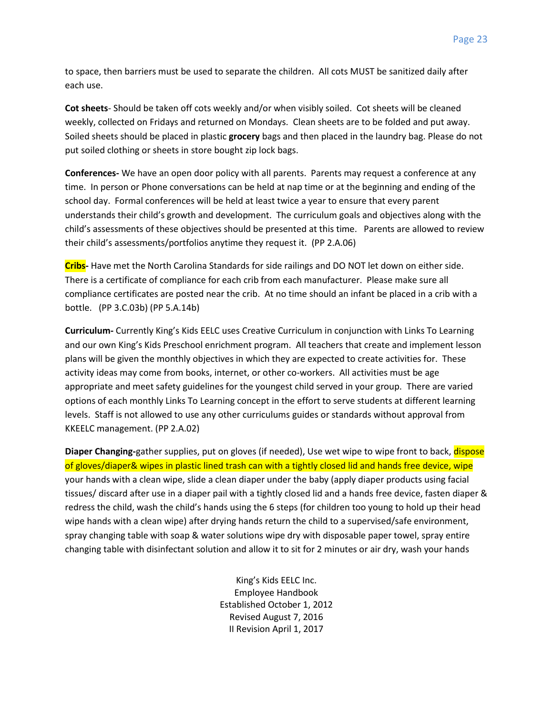to space, then barriers must be used to separate the children. All cots MUST be sanitized daily after each use.

**Cot sheets**- Should be taken off cots weekly and/or when visibly soiled. Cot sheets will be cleaned weekly, collected on Fridays and returned on Mondays. Clean sheets are to be folded and put away. Soiled sheets should be placed in plastic **grocery** bags and then placed in the laundry bag. Please do not put soiled clothing or sheets in store bought zip lock bags.

**Conferences-** We have an open door policy with all parents. Parents may request a conference at any time. In person or Phone conversations can be held at nap time or at the beginning and ending of the school day. Formal conferences will be held at least twice a year to ensure that every parent understands their child's growth and development. The curriculum goals and objectives along with the child's assessments of these objectives should be presented at this time. Parents are allowed to review their child's assessments/portfolios anytime they request it. (PP 2.A.06)

**Cribs-** Have met the North Carolina Standards for side railings and DO NOT let down on either side. There is a certificate of compliance for each crib from each manufacturer. Please make sure all compliance certificates are posted near the crib. At no time should an infant be placed in a crib with a bottle. (PP 3.C.03b) (PP 5.A.14b)

**Curriculum-** Currently King's Kids EELC uses Creative Curriculum in conjunction with Links To Learning and our own King's Kids Preschool enrichment program. All teachers that create and implement lesson plans will be given the monthly objectives in which they are expected to create activities for. These activity ideas may come from books, internet, or other co-workers. All activities must be age appropriate and meet safety guidelines for the youngest child served in your group. There are varied options of each monthly Links To Learning concept in the effort to serve students at different learning levels. Staff is not allowed to use any other curriculums guides or standards without approval from KKEELC management. (PP 2.A.02)

**Diaper Changing-**gather supplies, put on gloves (if needed), Use wet wipe to wipe front to back, dispose of gloves/diaper& wipes in plastic lined trash can with a tightly closed lid and hands free device, wipe your hands with a clean wipe, slide a clean diaper under the baby (apply diaper products using facial tissues/ discard after use in a diaper pail with a tightly closed lid and a hands free device, fasten diaper & redress the child, wash the child's hands using the 6 steps (for children too young to hold up their head wipe hands with a clean wipe) after drying hands return the child to a supervised/safe environment, spray changing table with soap & water solutions wipe dry with disposable paper towel, spray entire changing table with disinfectant solution and allow it to sit for 2 minutes or air dry, wash your hands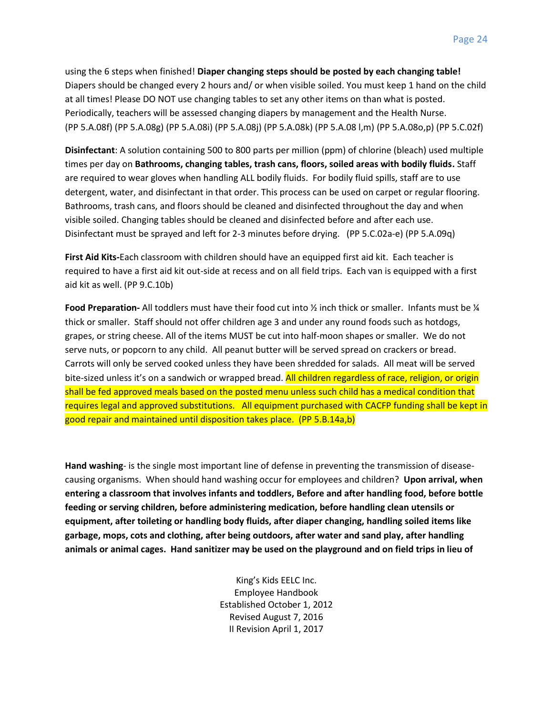using the 6 steps when finished! **Diaper changing steps should be posted by each changing table!** Diapers should be changed every 2 hours and/ or when visible soiled. You must keep 1 hand on the child at all times! Please DO NOT use changing tables to set any other items on than what is posted. Periodically, teachers will be assessed changing diapers by management and the Health Nurse. (PP 5.A.08f) (PP 5.A.08g) (PP 5.A.08i) (PP 5.A.08j) (PP 5.A.08k) (PP 5.A.08 l,m) (PP 5.A.08o,p) (PP 5.C.02f)

**Disinfectant**: A solution containing 500 to 800 parts per million (ppm) of chlorine (bleach) used multiple times per day on **Bathrooms, changing tables, trash cans, floors, soiled areas with bodily fluids.** Staff are required to wear gloves when handling ALL bodily fluids. For bodily fluid spills, staff are to use detergent, water, and disinfectant in that order. This process can be used on carpet or regular flooring. Bathrooms, trash cans, and floors should be cleaned and disinfected throughout the day and when visible soiled. Changing tables should be cleaned and disinfected before and after each use. Disinfectant must be sprayed and left for 2-3 minutes before drying. (PP 5.C.02a-e) (PP 5.A.09q)

**First Aid Kits-**Each classroom with children should have an equipped first aid kit. Each teacher is required to have a first aid kit out-side at recess and on all field trips. Each van is equipped with a first aid kit as well. (PP 9.C.10b)

**Food Preparation-** All toddlers must have their food cut into ½ inch thick or smaller. Infants must be ¼ thick or smaller. Staff should not offer children age 3 and under any round foods such as hotdogs, grapes, or string cheese. All of the items MUST be cut into half-moon shapes or smaller. We do not serve nuts, or popcorn to any child. All peanut butter will be served spread on crackers or bread. Carrots will only be served cooked unless they have been shredded for salads. All meat will be served bite-sized unless it's on a sandwich or wrapped bread. All children regardless of race, religion, or origin shall be fed approved meals based on the posted menu unless such child has a medical condition that requires legal and approved substitutions. All equipment purchased with CACFP funding shall be kept in good repair and maintained until disposition takes place. (PP 5.B.14a,b)

**Hand washing**- is the single most important line of defense in preventing the transmission of diseasecausing organisms. When should hand washing occur for employees and children? **Upon arrival, when entering a classroom that involves infants and toddlers, Before and after handling food, before bottle feeding or serving children, before administering medication, before handling clean utensils or equipment, after toileting or handling body fluids, after diaper changing, handling soiled items like garbage, mops, cots and clothing, after being outdoors, after water and sand play, after handling animals or animal cages. Hand sanitizer may be used on the playground and on field trips in lieu of**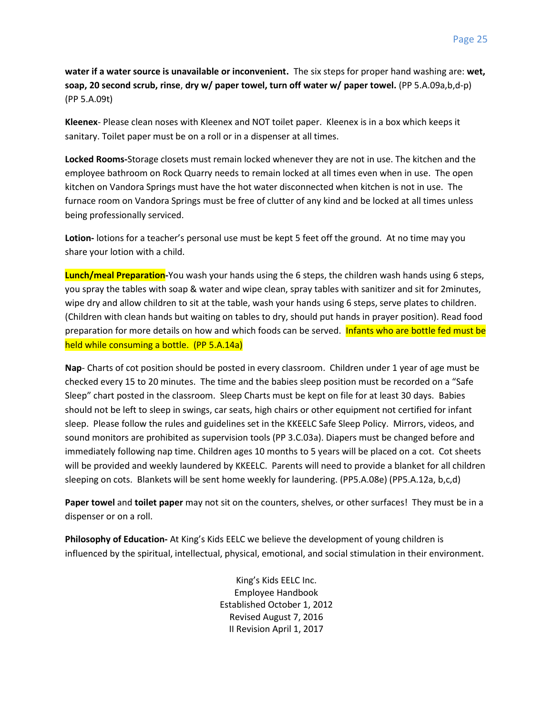**water if a water source is unavailable or inconvenient.** The six steps for proper hand washing are: **wet, soap, 20 second scrub, rinse**, **dry w/ paper towel, turn off water w/ paper towel.** (PP 5.A.09a,b,d-p) (PP 5.A.09t)

**Kleenex**- Please clean noses with Kleenex and NOT toilet paper. Kleenex is in a box which keeps it sanitary. Toilet paper must be on a roll or in a dispenser at all times.

**Locked Rooms-**Storage closets must remain locked whenever they are not in use. The kitchen and the employee bathroom on Rock Quarry needs to remain locked at all times even when in use. The open kitchen on Vandora Springs must have the hot water disconnected when kitchen is not in use. The furnace room on Vandora Springs must be free of clutter of any kind and be locked at all times unless being professionally serviced.

**Lotion-** lotions for a teacher's personal use must be kept 5 feet off the ground. At no time may you share your lotion with a child.

**Lunch/meal Preparation-**You wash your hands using the 6 steps, the children wash hands using 6 steps, you spray the tables with soap & water and wipe clean, spray tables with sanitizer and sit for 2minutes, wipe dry and allow children to sit at the table, wash your hands using 6 steps, serve plates to children. (Children with clean hands but waiting on tables to dry, should put hands in prayer position). Read food preparation for more details on how and which foods can be served. Infants who are bottle fed must be held while consuming a bottle. (PP 5.A.14a)

**Nap**- Charts of cot position should be posted in every classroom. Children under 1 year of age must be checked every 15 to 20 minutes. The time and the babies sleep position must be recorded on a "Safe Sleep" chart posted in the classroom. Sleep Charts must be kept on file for at least 30 days. Babies should not be left to sleep in swings, car seats, high chairs or other equipment not certified for infant sleep. Please follow the rules and guidelines set in the KKEELC Safe Sleep Policy. Mirrors, videos, and sound monitors are prohibited as supervision tools (PP 3.C.03a). Diapers must be changed before and immediately following nap time. Children ages 10 months to 5 years will be placed on a cot. Cot sheets will be provided and weekly laundered by KKEELC. Parents will need to provide a blanket for all children sleeping on cots. Blankets will be sent home weekly for laundering. (PP5.A.08e) (PP5.A.12a, b,c,d)

**Paper towel** and **toilet paper** may not sit on the counters, shelves, or other surfaces! They must be in a dispenser or on a roll.

**Philosophy of Education-** At King's Kids EELC we believe the development of young children is influenced by the spiritual, intellectual, physical, emotional, and social stimulation in their environment.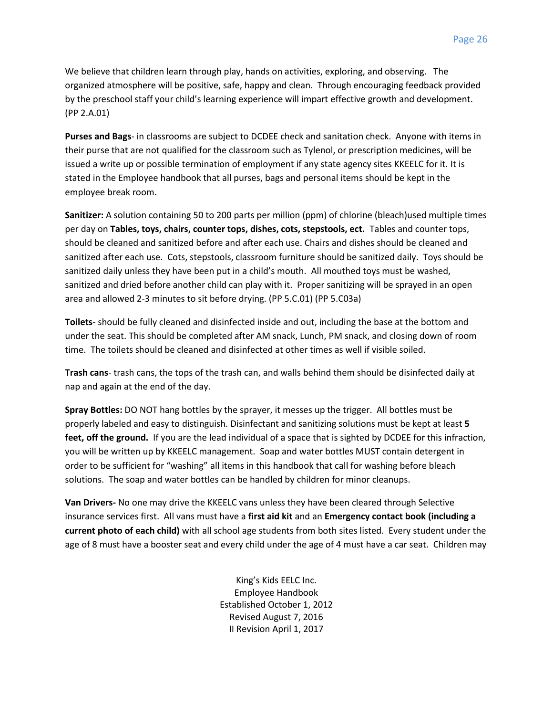We believe that children learn through play, hands on activities, exploring, and observing. The organized atmosphere will be positive, safe, happy and clean. Through encouraging feedback provided by the preschool staff your child's learning experience will impart effective growth and development. (PP 2.A.01)

**Purses and Bags**- in classrooms are subject to DCDEE check and sanitation check. Anyone with items in their purse that are not qualified for the classroom such as Tylenol, or prescription medicines, will be issued a write up or possible termination of employment if any state agency sites KKEELC for it. It is stated in the Employee handbook that all purses, bags and personal items should be kept in the employee break room.

**Sanitizer:** A solution containing 50 to 200 parts per million (ppm) of chlorine (bleach)used multiple times per day on **Tables, toys, chairs, counter tops, dishes, cots, stepstools, ect.** Tables and counter tops, should be cleaned and sanitized before and after each use. Chairs and dishes should be cleaned and sanitized after each use. Cots, stepstools, classroom furniture should be sanitized daily. Toys should be sanitized daily unless they have been put in a child's mouth. All mouthed toys must be washed, sanitized and dried before another child can play with it. Proper sanitizing will be sprayed in an open area and allowed 2-3 minutes to sit before drying. (PP 5.C.01) (PP 5.C03a)

**Toilets**- should be fully cleaned and disinfected inside and out, including the base at the bottom and under the seat. This should be completed after AM snack, Lunch, PM snack, and closing down of room time. The toilets should be cleaned and disinfected at other times as well if visible soiled.

**Trash cans**- trash cans, the tops of the trash can, and walls behind them should be disinfected daily at nap and again at the end of the day.

**Spray Bottles:** DO NOT hang bottles by the sprayer, it messes up the trigger. All bottles must be properly labeled and easy to distinguish. Disinfectant and sanitizing solutions must be kept at least **5 feet, off the ground.** If you are the lead individual of a space that is sighted by DCDEE for this infraction, you will be written up by KKEELC management. Soap and water bottles MUST contain detergent in order to be sufficient for "washing" all items in this handbook that call for washing before bleach solutions. The soap and water bottles can be handled by children for minor cleanups.

**Van Drivers-** No one may drive the KKEELC vans unless they have been cleared through Selective insurance services first. All vans must have a **first aid kit** and an **Emergency contact book (including a current photo of each child)** with all school age students from both sites listed. Every student under the age of 8 must have a booster seat and every child under the age of 4 must have a car seat. Children may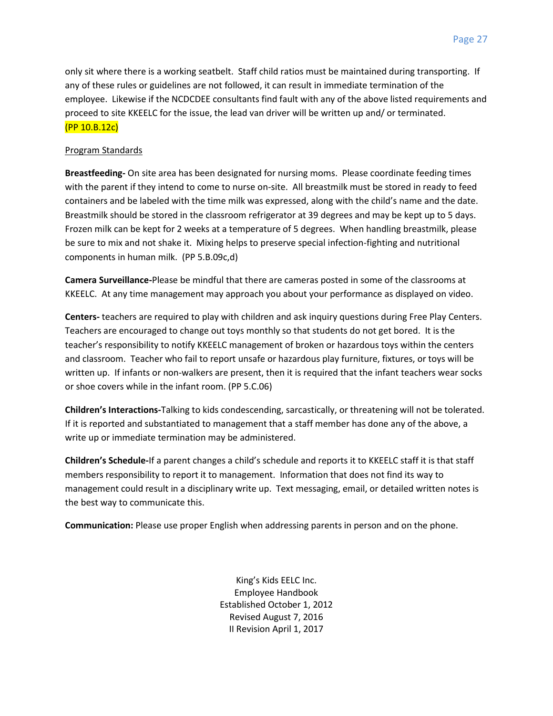only sit where there is a working seatbelt. Staff child ratios must be maintained during transporting. If any of these rules or guidelines are not followed, it can result in immediate termination of the employee. Likewise if the NCDCDEE consultants find fault with any of the above listed requirements and proceed to site KKEELC for the issue, the lead van driver will be written up and/ or terminated. (PP 10.B.12c)

#### Program Standards

**Breastfeeding-** On site area has been designated for nursing moms. Please coordinate feeding times with the parent if they intend to come to nurse on-site. All breastmilk must be stored in ready to feed containers and be labeled with the time milk was expressed, along with the child's name and the date. Breastmilk should be stored in the classroom refrigerator at 39 degrees and may be kept up to 5 days. Frozen milk can be kept for 2 weeks at a temperature of 5 degrees. When handling breastmilk, please be sure to mix and not shake it. Mixing helps to preserve special infection-fighting and nutritional components in human milk. (PP 5.B.09c,d)

**Camera Surveillance-**Please be mindful that there are cameras posted in some of the classrooms at KKEELC. At any time management may approach you about your performance as displayed on video.

**Centers-** teachers are required to play with children and ask inquiry questions during Free Play Centers. Teachers are encouraged to change out toys monthly so that students do not get bored. It is the teacher's responsibility to notify KKEELC management of broken or hazardous toys within the centers and classroom. Teacher who fail to report unsafe or hazardous play furniture, fixtures, or toys will be written up. If infants or non-walkers are present, then it is required that the infant teachers wear socks or shoe covers while in the infant room. (PP 5.C.06)

**Children's Interactions-**Talking to kids condescending, sarcastically, or threatening will not be tolerated. If it is reported and substantiated to management that a staff member has done any of the above, a write up or immediate termination may be administered.

**Children's Schedule-**If a parent changes a child's schedule and reports it to KKEELC staff it is that staff members responsibility to report it to management. Information that does not find its way to management could result in a disciplinary write up. Text messaging, email, or detailed written notes is the best way to communicate this.

**Communication:** Please use proper English when addressing parents in person and on the phone.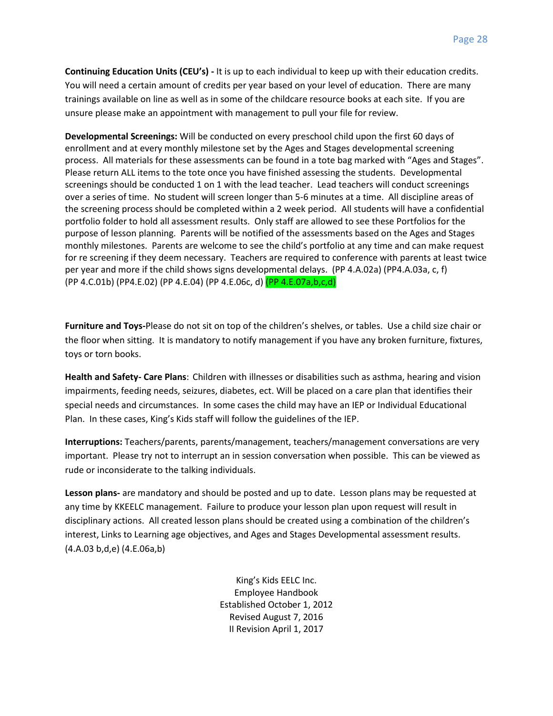**Continuing Education Units (CEU's) -** It is up to each individual to keep up with their education credits. You will need a certain amount of credits per year based on your level of education. There are many trainings available on line as well as in some of the childcare resource books at each site. If you are unsure please make an appointment with management to pull your file for review.

**Developmental Screenings:** Will be conducted on every preschool child upon the first 60 days of enrollment and at every monthly milestone set by the Ages and Stages developmental screening process. All materials for these assessments can be found in a tote bag marked with "Ages and Stages". Please return ALL items to the tote once you have finished assessing the students. Developmental screenings should be conducted 1 on 1 with the lead teacher. Lead teachers will conduct screenings over a series of time. No student will screen longer than 5-6 minutes at a time. All discipline areas of the screening process should be completed within a 2 week period. All students will have a confidential portfolio folder to hold all assessment results. Only staff are allowed to see these Portfolios for the purpose of lesson planning. Parents will be notified of the assessments based on the Ages and Stages monthly milestones. Parents are welcome to see the child's portfolio at any time and can make request for re screening if they deem necessary. Teachers are required to conference with parents at least twice per year and more if the child shows signs developmental delays. (PP 4.A.02a) (PP4.A.03a, c, f) (PP 4.C.01b) (PP4.E.02) (PP 4.E.04) (PP 4.E.06c, d) (PP 4.E.07a,b,c,d)

**Furniture and Toys-**Please do not sit on top of the children's shelves, or tables. Use a child size chair or the floor when sitting. It is mandatory to notify management if you have any broken furniture, fixtures, toys or torn books.

**Health and Safety- Care Plans**: Children with illnesses or disabilities such as asthma, hearing and vision impairments, feeding needs, seizures, diabetes, ect. Will be placed on a care plan that identifies their special needs and circumstances. In some cases the child may have an IEP or Individual Educational Plan. In these cases, King's Kids staff will follow the guidelines of the IEP.

**Interruptions:** Teachers/parents, parents/management, teachers/management conversations are very important. Please try not to interrupt an in session conversation when possible. This can be viewed as rude or inconsiderate to the talking individuals.

**Lesson plans-** are mandatory and should be posted and up to date. Lesson plans may be requested at any time by KKEELC management. Failure to produce your lesson plan upon request will result in disciplinary actions. All created lesson plans should be created using a combination of the children's interest, Links to Learning age objectives, and Ages and Stages Developmental assessment results. (4.A.03 b,d,e) (4.E.06a,b)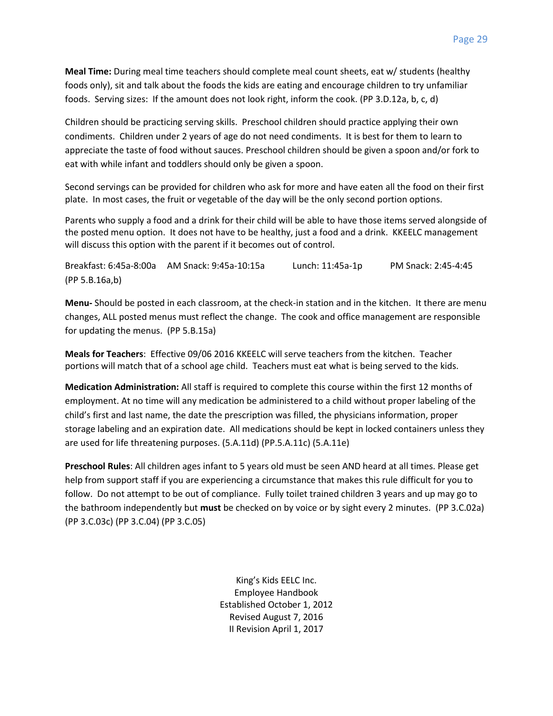**Meal Time:** During meal time teachers should complete meal count sheets, eat w/ students (healthy foods only), sit and talk about the foods the kids are eating and encourage children to try unfamiliar foods. Serving sizes: If the amount does not look right, inform the cook. (PP 3.D.12a, b, c, d)

Children should be practicing serving skills. Preschool children should practice applying their own condiments. Children under 2 years of age do not need condiments. It is best for them to learn to appreciate the taste of food without sauces. Preschool children should be given a spoon and/or fork to eat with while infant and toddlers should only be given a spoon.

Second servings can be provided for children who ask for more and have eaten all the food on their first plate. In most cases, the fruit or vegetable of the day will be the only second portion options.

Parents who supply a food and a drink for their child will be able to have those items served alongside of the posted menu option. It does not have to be healthy, just a food and a drink. KKEELC management will discuss this option with the parent if it becomes out of control.

Breakfast: 6:45a-8:00a AM Snack: 9:45a-10:15a Lunch: 11:45a-1p PM Snack: 2:45-4:45 (PP 5.B.16a,b)

**Menu-** Should be posted in each classroom, at the check-in station and in the kitchen. It there are menu changes, ALL posted menus must reflect the change. The cook and office management are responsible for updating the menus. (PP 5.B.15a)

**Meals for Teachers**: Effective 09/06 2016 KKEELC will serve teachers from the kitchen. Teacher portions will match that of a school age child. Teachers must eat what is being served to the kids.

**Medication Administration:** All staff is required to complete this course within the first 12 months of employment. At no time will any medication be administered to a child without proper labeling of the child's first and last name, the date the prescription was filled, the physicians information, proper storage labeling and an expiration date. All medications should be kept in locked containers unless they are used for life threatening purposes. (5.A.11d) (PP.5.A.11c) (5.A.11e)

**Preschool Rules**: All children ages infant to 5 years old must be seen AND heard at all times. Please get help from support staff if you are experiencing a circumstance that makes this rule difficult for you to follow. Do not attempt to be out of compliance. Fully toilet trained children 3 years and up may go to the bathroom independently but **must** be checked on by voice or by sight every 2 minutes. (PP 3.C.02a) (PP 3.C.03c) (PP 3.C.04) (PP 3.C.05)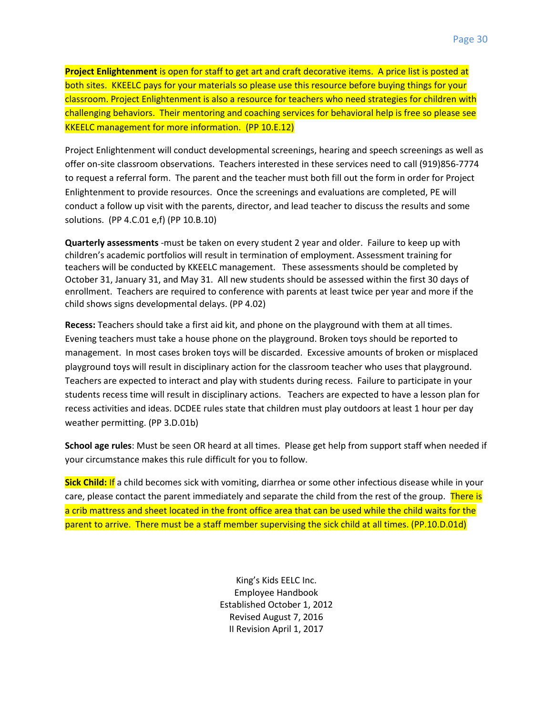**Project Enlightenment** is open for staff to get art and craft decorative items. A price list is posted at both sites. KKEELC pays for your materials so please use this resource before buying things for your classroom. Project Enlightenment is also a resource for teachers who need strategies for children with challenging behaviors. Their mentoring and coaching services for behavioral help is free so please see KKEELC management for more information. (PP 10.E.12)

Project Enlightenment will conduct developmental screenings, hearing and speech screenings as well as offer on-site classroom observations. Teachers interested in these services need to call (919)856-7774 to request a referral form. The parent and the teacher must both fill out the form in order for Project Enlightenment to provide resources. Once the screenings and evaluations are completed, PE will conduct a follow up visit with the parents, director, and lead teacher to discuss the results and some solutions. (PP 4.C.01 e,f) (PP 10.B.10)

**Quarterly assessments** -must be taken on every student 2 year and older. Failure to keep up with children's academic portfolios will result in termination of employment. Assessment training for teachers will be conducted by KKEELC management. These assessments should be completed by October 31, January 31, and May 31. All new students should be assessed within the first 30 days of enrollment. Teachers are required to conference with parents at least twice per year and more if the child shows signs developmental delays. (PP 4.02)

**Recess:** Teachers should take a first aid kit, and phone on the playground with them at all times. Evening teachers must take a house phone on the playground. Broken toys should be reported to management. In most cases broken toys will be discarded. Excessive amounts of broken or misplaced playground toys will result in disciplinary action for the classroom teacher who uses that playground. Teachers are expected to interact and play with students during recess. Failure to participate in your students recess time will result in disciplinary actions. Teachers are expected to have a lesson plan for recess activities and ideas. DCDEE rules state that children must play outdoors at least 1 hour per day weather permitting. (PP 3.D.01b)

**School age rules**: Must be seen OR heard at all times. Please get help from support staff when needed if your circumstance makes this rule difficult for you to follow.

**Sick Child:** If a child becomes sick with vomiting, diarrhea or some other infectious disease while in your care, please contact the parent immediately and separate the child from the rest of the group. There is a crib mattress and sheet located in the front office area that can be used while the child waits for the parent to arrive. There must be a staff member supervising the sick child at all times. (PP.10.D.01d)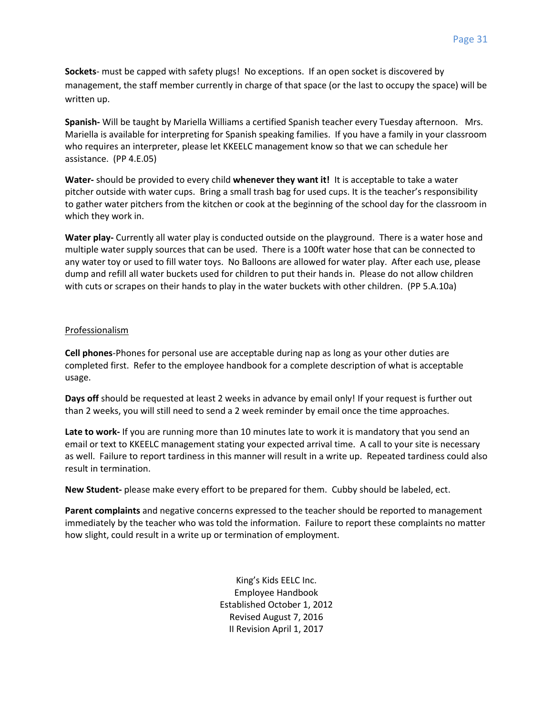**Sockets**- must be capped with safety plugs! No exceptions. If an open socket is discovered by management, the staff member currently in charge of that space (or the last to occupy the space) will be written up.

**Spanish-** Will be taught by Mariella Williams a certified Spanish teacher every Tuesday afternoon. Mrs. Mariella is available for interpreting for Spanish speaking families. If you have a family in your classroom who requires an interpreter, please let KKEELC management know so that we can schedule her assistance. (PP 4.E.05)

**Water-** should be provided to every child **whenever they want it!** It is acceptable to take a water pitcher outside with water cups. Bring a small trash bag for used cups. It is the teacher's responsibility to gather water pitchers from the kitchen or cook at the beginning of the school day for the classroom in which they work in.

**Water play-** Currently all water play is conducted outside on the playground. There is a water hose and multiple water supply sources that can be used. There is a 100ft water hose that can be connected to any water toy or used to fill water toys. No Balloons are allowed for water play. After each use, please dump and refill all water buckets used for children to put their hands in. Please do not allow children with cuts or scrapes on their hands to play in the water buckets with other children. (PP 5.A.10a)

#### Professionalism

**Cell phones**-Phones for personal use are acceptable during nap as long as your other duties are completed first. Refer to the employee handbook for a complete description of what is acceptable usage.

**Days off** should be requested at least 2 weeks in advance by email only! If your request is further out than 2 weeks, you will still need to send a 2 week reminder by email once the time approaches.

**Late to work-** If you are running more than 10 minutes late to work it is mandatory that you send an email or text to KKEELC management stating your expected arrival time. A call to your site is necessary as well. Failure to report tardiness in this manner will result in a write up. Repeated tardiness could also result in termination.

**New Student-** please make every effort to be prepared for them. Cubby should be labeled, ect.

**Parent complaints** and negative concerns expressed to the teacher should be reported to management immediately by the teacher who was told the information. Failure to report these complaints no matter how slight, could result in a write up or termination of employment.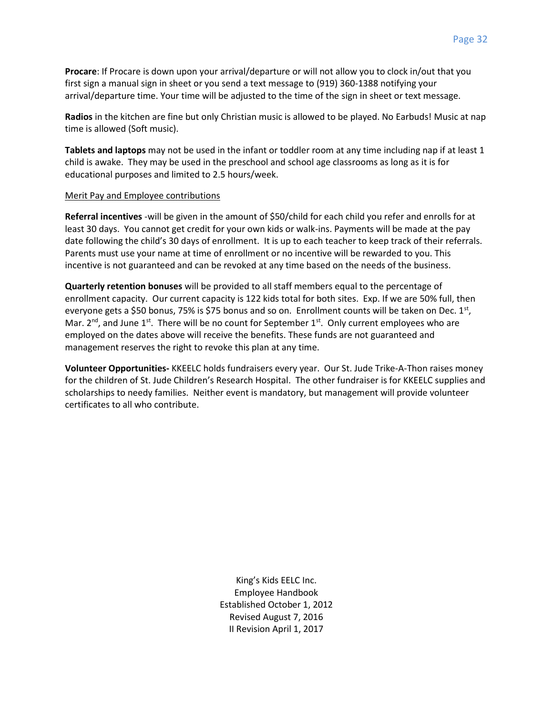**Procare**: If Procare is down upon your arrival/departure or will not allow you to clock in/out that you first sign a manual sign in sheet or you send a text message to (919) 360-1388 notifying your arrival/departure time. Your time will be adjusted to the time of the sign in sheet or text message.

**Radios** in the kitchen are fine but only Christian music is allowed to be played. No Earbuds! Music at nap time is allowed (Soft music).

**Tablets and laptops** may not be used in the infant or toddler room at any time including nap if at least 1 child is awake. They may be used in the preschool and school age classrooms as long as it is for educational purposes and limited to 2.5 hours/week.

#### Merit Pay and Employee contributions

**Referral incentives** -will be given in the amount of \$50/child for each child you refer and enrolls for at least 30 days. You cannot get credit for your own kids or walk-ins. Payments will be made at the pay date following the child's 30 days of enrollment. It is up to each teacher to keep track of their referrals. Parents must use your name at time of enrollment or no incentive will be rewarded to you. This incentive is not guaranteed and can be revoked at any time based on the needs of the business.

**Quarterly retention bonuses** will be provided to all staff members equal to the percentage of enrollment capacity. Our current capacity is 122 kids total for both sites. Exp. If we are 50% full, then everyone gets a \$50 bonus, 75% is \$75 bonus and so on. Enrollment counts will be taken on Dec. 1<sup>st</sup>, Mar.  $2<sup>nd</sup>$ , and June  $1<sup>st</sup>$ . There will be no count for September  $1<sup>st</sup>$ . Only current employees who are employed on the dates above will receive the benefits. These funds are not guaranteed and management reserves the right to revoke this plan at any time.

**Volunteer Opportunities-** KKEELC holds fundraisers every year. Our St. Jude Trike-A-Thon raises money for the children of St. Jude Children's Research Hospital. The other fundraiser is for KKEELC supplies and scholarships to needy families. Neither event is mandatory, but management will provide volunteer certificates to all who contribute.